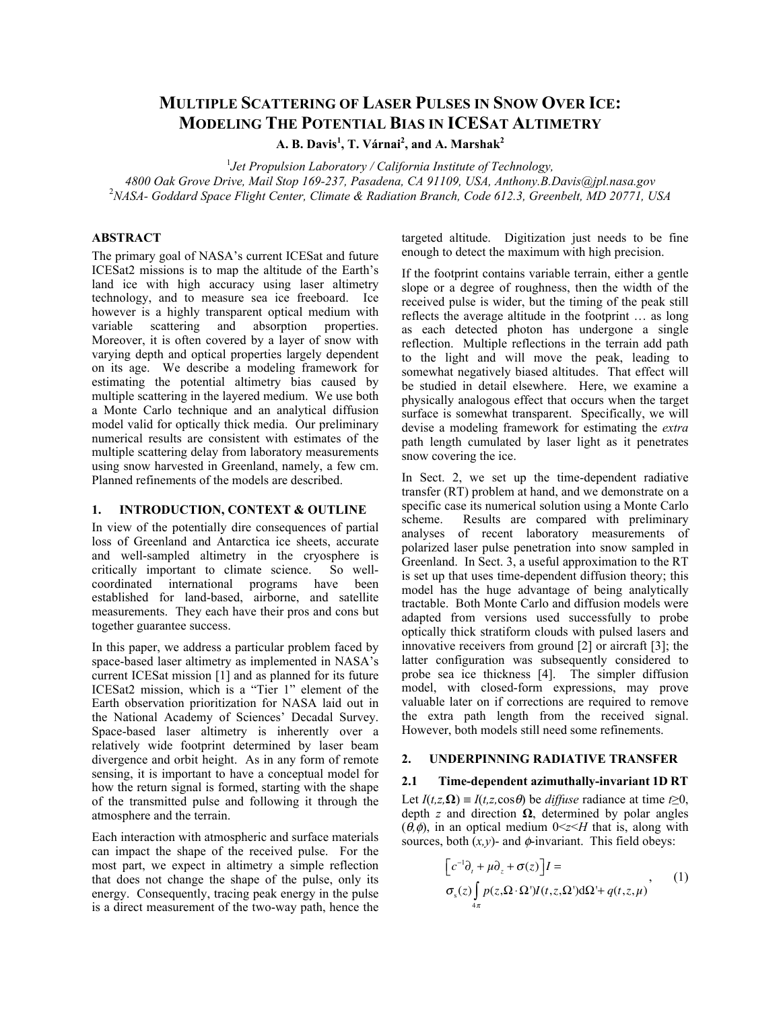# **MULTIPLE SCATTERING OF LASER PULSES IN SNOW OVER ICE: MODELING THE POTENTIAL BIAS IN ICESAT ALTIMETRY**

**A. B. Davis<sup>1</sup> , T. Várnai<sup>2</sup> , and A. Marshak<sup>2</sup>**

<sup>1</sup> Jet Propulsion Laboratory / California Institute of Technology, *4800 Oak Grove Drive, Mail Stop 169-237, Pasadena, CA 91109, USA, Anthony.B.Davis@jpl.nasa.gov* <sup>2</sup> *NASA- Goddard Space Flight Center, Climate & Radiation Branch, Code 612.3, Greenbelt, MD 20771, USA*

# **ABSTRACT**

The primary goal of NASA's current ICESat and future ICESat2 missions is to map the altitude of the Earth's land ice with high accuracy using laser altimetry technology, and to measure sea ice freeboard. Ice however is a highly transparent optical medium with variable scattering and absorption properties. Moreover, it is often covered by a layer of snow with varying depth and optical properties largely dependent on its age. We describe a modeling framework for estimating the potential altimetry bias caused by multiple scattering in the layered medium. We use both a Monte Carlo technique and an analytical diffusion model valid for optically thick media. Our preliminary numerical results are consistent with estimates of the multiple scattering delay from laboratory measurements using snow harvested in Greenland, namely, a few cm. Planned refinements of the models are described.

## **1. INTRODUCTION, CONTEXT & OUTLINE**

In view of the potentially dire consequences of partial loss of Greenland and Antarctica ice sheets, accurate and well-sampled altimetry in the cryosphere is critically important to climate science. So wellcoordinated international programs have been established for land-based, airborne, and satellite measurements. They each have their pros and cons but together guarantee success.

In this paper, we address a particular problem faced by space-based laser altimetry as implemented in NASA's current ICESat mission [1] and as planned for its future ICESat2 mission, which is a "Tier 1" element of the Earth observation prioritization for NASA laid out in the National Academy of Sciences' Decadal Survey. Space-based laser altimetry is inherently over a relatively wide footprint determined by laser beam divergence and orbit height. As in any form of remote sensing, it is important to have a conceptual model for how the return signal is formed, starting with the shape of the transmitted pulse and following it through the atmosphere and the terrain.

Each interaction with atmospheric and surface materials can impact the shape of the received pulse. For the most part, we expect in altimetry a simple reflection that does not change the shape of the pulse, only its energy. Consequently, tracing peak energy in the pulse is a direct measurement of the two-way path, hence the targeted altitude. Digitization just needs to be fine enough to detect the maximum with high precision.

If the footprint contains variable terrain, either a gentle slope or a degree of roughness, then the width of the received pulse is wider, but the timing of the peak still reflects the average altitude in the footprint … as long as each detected photon has undergone a single reflection. Multiple reflections in the terrain add path to the light and will move the peak, leading to somewhat negatively biased altitudes. That effect will be studied in detail elsewhere. Here, we examine a physically analogous effect that occurs when the target surface is somewhat transparent. Specifically, we will devise a modeling framework for estimating the *extra* path length cumulated by laser light as it penetrates snow covering the ice.

In Sect. 2, we set up the time-dependent radiative transfer (RT) problem at hand, and we demonstrate on a specific case its numerical solution using a Monte Carlo scheme. Results are compared with preliminary analyses of recent laboratory measurements of polarized laser pulse penetration into snow sampled in Greenland. In Sect. 3, a useful approximation to the RT is set up that uses time-dependent diffusion theory; this model has the huge advantage of being analytically tractable. Both Monte Carlo and diffusion models were adapted from versions used successfully to probe optically thick stratiform clouds with pulsed lasers and innovative receivers from ground [2] or aircraft [3]; the latter configuration was subsequently considered to probe sea ice thickness [4]. The simpler diffusion model, with closed-form expressions, may prove valuable later on if corrections are required to remove the extra path length from the received signal. However, both models still need some refinements.

## **2. UNDERPINNING RADIATIVE TRANSFER**

#### **2.1 Time-dependent azimuthally-invariant 1D RT**

Let  $I(t,z,\Omega) \equiv I(t,z,\cos\theta)$  be *diffuse* radiance at time  $t \geq 0$ , depth *z* and direction **Ω**, determined by polar angles  $(\theta, \phi)$ , in an optical medium  $0 \le z \le H$  that is, along with sources, both  $(x, y)$ - and  $\phi$ -invariant. This field obeys:

$$
\[c^{-1}\partial_t + \mu \partial_z + \sigma(z)\]I = \sigma_s(z) \int_{4\pi} p(z, \Omega \cdot \Omega') I(t, z, \Omega') d\Omega' + q(t, z, \mu)
$$
\n(1)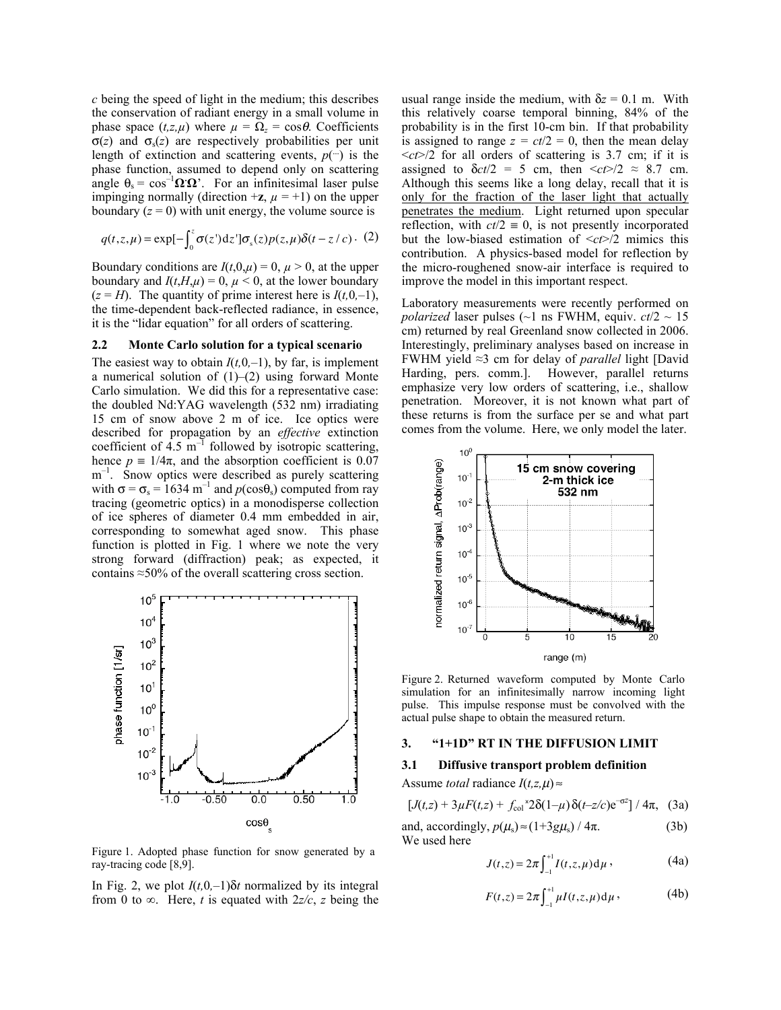*c* being the speed of light in the medium; this describes the conservation of radiant energy in a small volume in phase space  $(t, z, \mu)$  where  $\mu = \Omega_z = \cos \theta$ . Coefficients  $\sigma(z)$  and  $\sigma_s(z)$  are respectively probabilities per unit length of extinction and scattering events,  $p(-)$  is the phase function, assumed to depend only on scattering angle  $\theta_s = \cos^{-1} \Omega \Omega$ . For an infinitesimal laser pulse impinging normally (direction  $+\mathbf{z}$ ,  $\mu = +1$ ) on the upper boundary  $(z = 0)$  with unit energy, the volume source is

$$
q(t, z, \mu) = \exp[-\int_0^z \sigma(z') \, dz'] \sigma_s(z) p(z, \mu) \delta(t - z/c) \,. (2)
$$

Boundary conditions are  $I(t,0,\mu) = 0$ ,  $\mu > 0$ , at the upper boundary and  $I(t, H, \mu) = 0$ ,  $\mu < 0$ , at the lower boundary  $(z = H)$ . The quantity of prime interest here is  $I(t, 0, -1)$ , the time-dependent back-reflected radiance, in essence, it is the "lidar equation" for all orders of scattering.

## **2.2 Monte Carlo solution for a typical scenario**

The easiest way to obtain  $I(t, 0, -1)$ , by far, is implement a numerical solution of  $(1)$ – $(2)$  using forward Monte Carlo simulation. We did this for a representative case: the doubled Nd:YAG wavelength (532 nm) irradiating 15 cm of snow above 2 m of ice. Ice optics were described for propagation by an *effective* extinction coefficient of  $4.5 \text{ m}^{-1}$  followed by isotropic scattering, hence  $p = 1/4\pi$ , and the absorption coefficient is 0.07 m<sup>-1</sup>. Snow optics were described as purely scattering with  $\sigma = \sigma_s = 1634 \text{ m}^{-1}$  and  $p(\cos\theta_s)$  computed from ray tracing (geometric optics) in a monodisperse collection of ice spheres of diameter 0.4 mm embedded in air, corresponding to somewhat aged snow. This phase function is plotted in Fig. 1 where we note the very strong forward (diffraction) peak; as expected, it contains ≈50% of the overall scattering cross section.



Figure 1. Adopted phase function for snow generated by a ray-tracing code [8,9].

In Fig. 2, we plot  $I(t, 0, -1)\delta t$  normalized by its integral from 0 to  $\infty$ . Here, *t* is equated with  $2z/c$ , *z* being the usual range inside the medium, with  $\delta z = 0.1$  m. With this relatively coarse temporal binning, 84% of the probability is in the first 10-cm bin. If that probability is assigned to range  $z = ct/2 = 0$ , then the mean delay  $\langle ct \rangle/2$  for all orders of scattering is 3.7 cm; if it is assigned to  $\delta ct/2 = 5$  cm, then  $\langle ct \rangle/2 \approx 8.7$  cm. Although this seems like a long delay, recall that it is only for the fraction of the laser light that actually penetrates the medium. Light returned upon specular reflection, with  $ct/2 = 0$ , is not presently incorporated but the low-biased estimation of <*ct*>/2 mimics this contribution. A physics-based model for reflection by the micro-roughened snow-air interface is required to improve the model in this important respect.

Laboratory measurements were recently performed on *polarized* laser pulses (~1 ns FWHM, equiv.  $ct/2 \sim 15$ cm) returned by real Greenland snow collected in 2006. Interestingly, preliminary analyses based on increase in FWHM yield ≈3 cm for delay of *parallel* light [David Harding, pers. comm.]. However, parallel returns emphasize very low orders of scattering, i.e., shallow penetration. Moreover, it is not known what part of these returns is from the surface per se and what part comes from the volume. Here, we only model the later.



Figure 2. Returned waveform computed by Monte Carlo simulation for an infinitesimally narrow incoming light pulse. This impulse response must be convolved with the actual pulse shape to obtain the measured return.

#### **3. "1+1D" RT IN THE DIFFUSION LIMIT**

#### **3.1 Diffusive transport problem definition**

Assume *total* radiance  $I(t, z, \mu) \approx$ 

 $[J(t,z) + 3\mu F(t,z) + f_{col}^2$   $2\delta(1-\mu)\delta(t-z/c)e^{-\sigma z}$ ] /  $4\pi$ , (3a)

and, accordingly, 
$$
p(\mu_s) \approx (1+3g\mu_s) / 4\pi
$$
. (3b)

We used here

$$
J(t,z) = 2\pi \int_{-1}^{+1} I(t,z,\mu) \, \mathrm{d}\mu \,, \tag{4a}
$$

$$
F(t, z) = 2\pi \int_{-1}^{+1} \mu I(t, z, \mu) d\mu,
$$
 (4b)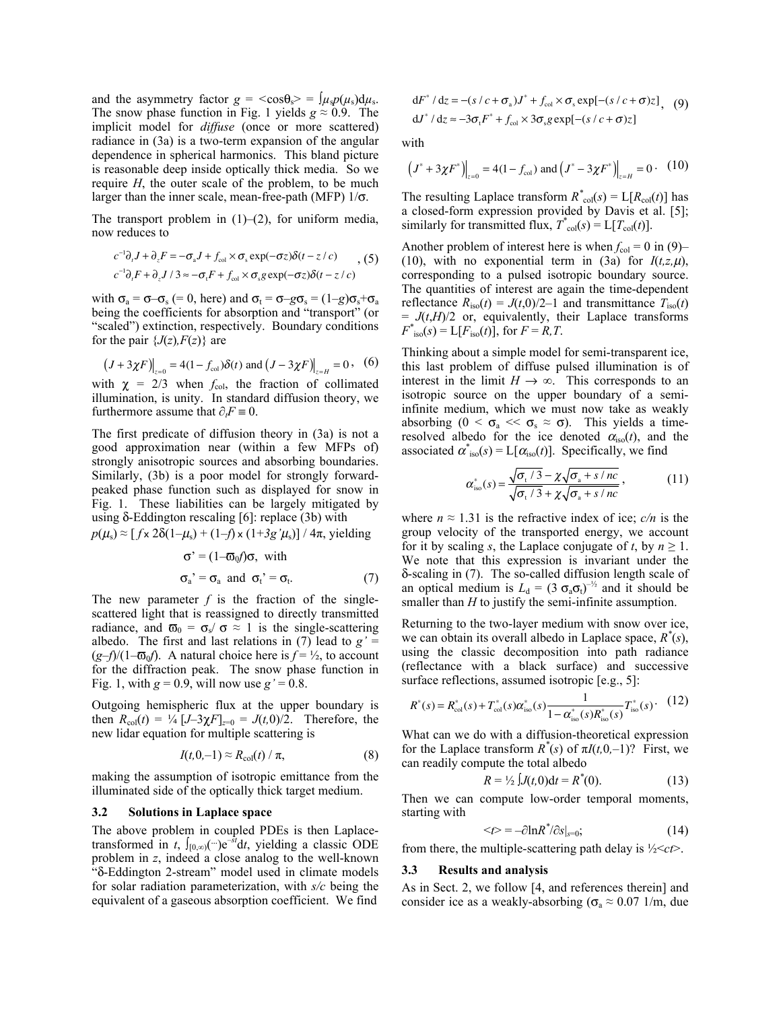and the asymmetry factor  $g = \cos\theta_s > \sin\mu_s p(\mu_s) d\mu_s$ . The snow phase function in Fig. 1 yields  $g \approx 0.9$ . The implicit model for *diffuse* (once or more scattered) radiance in (3a) is a two-term expansion of the angular dependence in spherical harmonics. This bland picture is reasonable deep inside optically thick media. So we require *H*, the outer scale of the problem, to be much larger than the inner scale, mean-free-path (MFP)  $1/\sigma$ .

The transport problem in  $(1)$ – $(2)$ , for uniform media, now reduces to

$$
c^{-1}\partial_t J + \partial_z F = -\sigma_{\rm a}J + f_{\rm col} \times \sigma_{\rm s} \exp(-\sigma z) \delta(t - z/c) \quad (5)
$$
  

$$
c^{-1}\partial_t F + \partial_z J / 3 \approx -\sigma_{\rm t}F + f_{\rm col} \times \sigma_{\rm s} g \exp(-\sigma z) \delta(t - z/c)
$$

with  $\sigma_a = \sigma - \sigma_s$  (= 0, here) and  $\sigma_t = \sigma - g\sigma_s = (1-g)\sigma_s + \sigma_a$ being the coefficients for absorption and "transport" (or "scaled") extinction, respectively. Boundary conditions for the pair  $\{J(z), F(z)\}\$  are

$$
(J + 3\chi F)|_{z=0} = 4(1 - f_{\text{col}})\delta(t)
$$
 and  $(J - 3\chi F)|_{z=H} = 0$ , (6)

with  $\chi = 2/3$  when  $f_{\text{col}}$ , the fraction of collimated illumination, is unity. In standard diffusion theory, we furthermore assume that  $\partial F \equiv 0$ .

The first predicate of diffusion theory in (3a) is not a good approximation near (within a few MFPs of) strongly anisotropic sources and absorbing boundaries. Similarly, (3b) is a poor model for strongly forwardpeaked phase function such as displayed for snow in Fig. 1. These liabilities can be largely mitigated by using  $δ$ -Eddington rescaling [6]: replace (3b) with  $p(\mu_s) \approx [f \times 2\delta(1-\mu_s) + (1-f) \times (1+3g^2\mu_s)] / 4\pi$ , yielding

$$
\sigma' = (1 - \sigma_0 f)\sigma, \text{ with}
$$
  
\n
$$
\sigma_a' = \sigma_a \text{ and } \sigma_t' = \sigma_t.
$$
 (7)

The new parameter  $f$  is the fraction of the singlescattered light that is reassigned to directly transmitted radiance, and  $\overline{\omega}_0 = \sigma_s / \sigma \approx 1$  is the single-scattering albedo. The first and last relations in (7) lead to  $g' =$  $(g-f)/(1-\overline{\omega}_0 f)$ . A natural choice here is  $f = \frac{1}{2}$ , to account for the diffraction peak. The snow phase function in Fig. 1, with  $g = 0.9$ , will now use  $g' = 0.8$ .

Outgoing hemispheric flux at the upper boundary is then  $R_{\text{col}}(t) = \frac{1}{4} [J - 3\chi F]_{z=0} = J(t,0)/2$ . Therefore, the new lidar equation for multiple scattering is

$$
I(t,0,-1) \approx R_{\text{col}}(t) / \pi, \qquad (8)
$$

making the assumption of isotropic emittance from the illuminated side of the optically thick target medium.

## **3.2 Solutions in Laplace space**

The above problem in coupled PDEs is then Laplacetransformed in *t*,  $\int_{[0,\infty)} (-)e^{-st} dt$ , yielding a classic ODE problem in *z*, indeed a close analog to the well-known "δ-Eddington 2-stream" model used in climate models for solar radiation parameterization, with *s/c* being the equivalent of a gaseous absorption coefficient. We find

$$
dF^* / dz = -(s/c + \sigma_a)J^* + f_{col} \times \sigma_s exp[-(s/c + \sigma)z],
$$
 (9)  

$$
dJ^* / dz \approx -3\sigma_t F^* + f_{col} \times 3\sigma_s g exp[-(s/c + \sigma)z]
$$

with

$$
(J^* + 3\chi F^*)\Big|_{z=0} = 4(1 - f_{\text{col}})
$$
 and  $(J^* - 3\chi F^*)\Big|_{z=H} = 0$ . (10)

The resulting Laplace transform  $R^*_{\text{col}}(s) = L[R_{\text{col}}(t)]$  has a closed-form expression provided by Davis et al. [5]; similarly for transmitted flux,  $T^*_{\text{col}}(s) = L[T_{\text{col}}(t)]$ .

Another problem of interest here is when  $f_{\text{col}} = 0$  in (9)– (10), with no exponential term in (3a) for  $I(t,z,\mu)$ , corresponding to a pulsed isotropic boundary source. The quantities of interest are again the time-dependent reflectance  $R_{\text{iso}}(t) = J(t,0)/2-1$  and transmittance  $T_{\text{iso}}(t)$  $= J(t,H)/2$  or, equivalently, their Laplace transforms  $F^*_{\text{iso}}(s) = L[F_{\text{iso}}(t)]$ , for  $F = R, T$ .

Thinking about a simple model for semi-transparent ice, this last problem of diffuse pulsed illumination is of interest in the limit  $H \to \infty$ . This corresponds to an isotropic source on the upper boundary of a semiinfinite medium, which we must now take as weakly absorbing ( $0 < \sigma_a \ll \sigma_s \approx \sigma$ ). This yields a timeresolved albedo for the ice denoted  $\alpha_{\rm iso}(t)$ , and the associated  $\alpha^*_{iso}(s) = L[\alpha_{iso}(t)]$ . Specifically, we find

$$
\alpha_{\text{iso}}^*(s) = \frac{\sqrt{\sigma_{\text{t}}/3} - \chi \sqrt{\sigma_{\text{a}} + s/nc}}{\sqrt{\sigma_{\text{t}}/3} + \chi \sqrt{\sigma_{\text{a}} + s/nc}}\,,\tag{11}
$$

where  $n \approx 1.31$  is the refractive index of ice;  $c/n$  is the group velocity of the transported energy, we account for it by scaling *s*, the Laplace conjugate of *t*, by  $n \geq 1$ . We note that this expression is invariant under the δ-scaling in (7). The so-called diffusion length scale of an optical medium is  $L_d = (3 \sigma_a \sigma_t)^{-1/2}$  and it should be smaller than *H* to justify the semi-infinite assumption.

Returning to the two-layer medium with snow over ice, we can obtain its overall albedo in Laplace space,  $R^*(s)$ , using the classic decomposition into path radiance (reflectance with a black surface) and successive surface reflections, assumed isotropic [e.g., 5]:

$$
R^*(s) = R_{\text{col}}^*(s) + T_{\text{col}}^*(s)\alpha_{\text{iso}}^*(s) \frac{1}{1 - \alpha_{\text{iso}}^*(s)R_{\text{iso}}^*(s)} T_{\text{iso}}^*(s) \cdot (12)
$$

What can we do with a diffusion-theoretical expression for the Laplace transform  $R^*(s)$  of  $\pi I(t,0,-1)$ ? First, we can readily compute the total albedo

$$
R = \frac{1}{2} \int J(t,0) dt = R^*(0). \tag{13}
$$

Then we can compute low-order temporal moments, starting with

$$
\langle t \rangle = -\partial \ln R^* / \partial s |_{s=0};\tag{14}
$$

from there, the multiple-scattering path delay is ½<*ct*>.

### **3.3 Results and analysis**

As in Sect. 2, we follow [4, and references therein] and consider ice as a weakly-absorbing ( $\sigma_a \approx 0.07$  1/m, due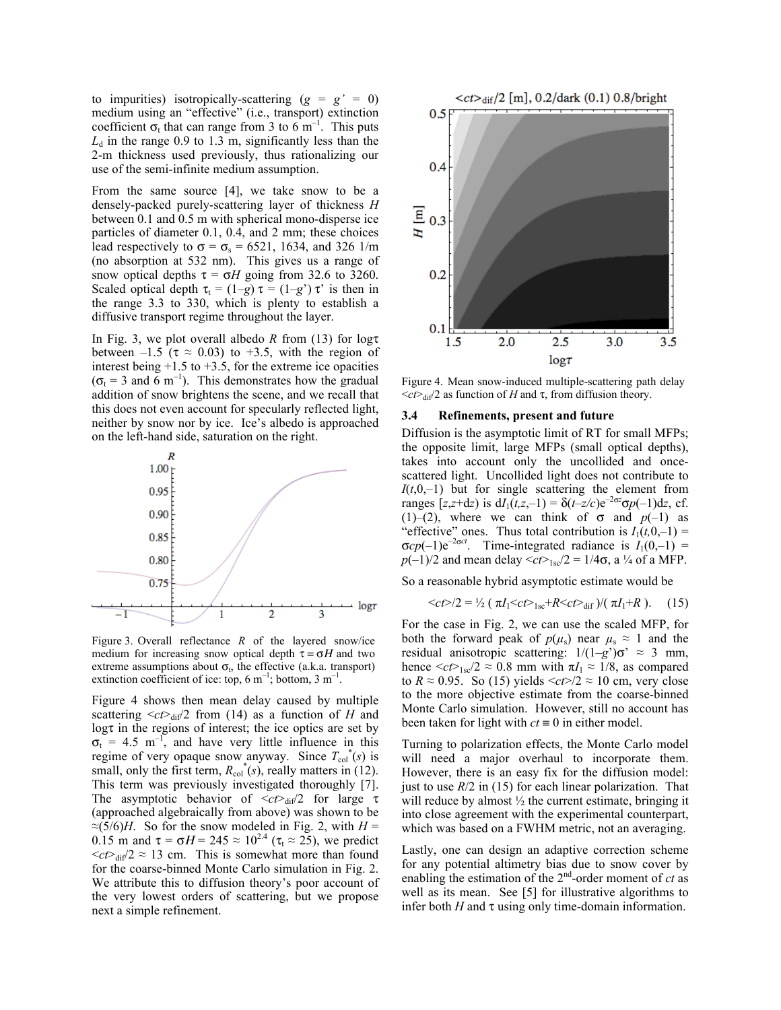to impurities) isotropically-scattering  $(g = g' = 0)$ medium using an "effective" (i.e., transport) extinction coefficient  $\sigma_t$  that can range from 3 to 6 m<sup>-1</sup>. This puts  $L_d$  in the range 0.9 to 1.3 m, significantly less than the 2-m thickness used previously, thus rationalizing our use of the semi-infinite medium assumption.

From the same source [4], we take snow to be a densely-packed purely-scattering layer of thickness *H* between 0.1 and 0.5 m with spherical mono-disperse ice particles of diameter 0.1, 0.4, and 2 mm; these choices lead respectively to  $\sigma = \sigma_s = 6521$ , 1634, and 326 1/m (no absorption at 532 nm). This gives us a range of snow optical depths  $\tau = \sigma H$  going from 32.6 to 3260. Scaled optical depth  $\tau_t = (1-g) \tau = (1-g') \tau'$  is then in the range 3.3 to 330, which is plenty to establish a diffusive transport regime throughout the layer.

In Fig. 3, we plot overall albedo *R* from (13) for logτ between –1.5 ( $\tau \approx 0.03$ ) to +3.5, with the region of interest being  $+1.5$  to  $+3.5$ , for the extreme ice opacities  $(\sigma_t = 3$  and  $\tilde{6}$  m<sup>-1</sup>). This demonstrates how the gradual addition of snow brightens the scene, and we recall that this does not even account for specularly reflected light, neither by snow nor by ice. Ice's albedo is approached on the left-hand side, saturation on the right.



Figure 3. Overall reflectance *R* of the layered snow/ice medium for increasing snow optical depth  $\tau = \sigma H$  and two extreme assumptions about  $\sigma_t$ , the effective (a.k.a. transport) extinction coefficient of ice: top, 6  $m^{-1}$ ; bottom, 3  $m^{-1}$ .

Figure 4 shows then mean delay caused by multiple scattering  $\langle ct \rangle_{diff}/2$  from (14) as a function of *H* and logτ in the regions of interest; the ice optics are set by  $\sigma_t = 4.5$  m<sup>-1</sup>, and have very little influence in this regime of very opaque snow anyway. Since  $T_{col}^*(s)$  is small, only the first term,  $R_{\text{col}}^*(s)$ , really matters in (12). This term was previously investigated thoroughly [7]. The asymptotic behavior of  $\langle ct \rangle_{di}/2$  for large τ (approached algebraically from above) was shown to be ≈(5/6)*H*. So for the snow modeled in Fig. 2, with  $H =$ 0.15 m and  $\tau = \sigma H = 245 \approx 10^{2.4}$  ( $\tau_t \approx 25$ ), we predict  $\langle ct \rangle_{\text{dif}}/2 \approx 13$  cm. This is somewhat more than found for the coarse-binned Monte Carlo simulation in Fig. 2. We attribute this to diffusion theory's poor account of the very lowest orders of scattering, but we propose next a simple refinement.



Figure 4. Mean snow-induced multiple-scattering path delay  $\langle ct \rangle$ <sub>dif</sub>/2 as function of *H* and τ, from diffusion theory.

#### **3.4 Refinements, present and future**

Diffusion is the asymptotic limit of RT for small MFPs; the opposite limit, large MFPs (small optical depths), takes into account only the uncollided and oncescattered light. Uncollided light does not contribute to  $I(t,0,-1)$  but for single scattering the element from ranges  $[z, z+dz)$  is  $dI_1(t, z, -1) = \delta(t-z/c)e^{-2\sigma z}\sigma p(-1)dz$ , cf. (1)–(2), where we can think of  $\sigma$  and  $p(-1)$  as "effective" ones. Thus total contribution is  $I_1(t,0,-1)$  =  $\sigma cp(-1)e^{-2\sigma ct}$ . Time-integrated radiance is  $I_1(0,-1)$  = *p*(-1)/2 and mean delay  $\langle ct \rangle$ <sub>1sc</sub>/2 = 1/4 $\sigma$ , a <sup>1</sup>/<sub>4</sub> of a MFP.

So a reasonable hybrid asymptotic estimate would be

$$
/2 = \frac{1}{2} (\pi I_1 < ct>_{1sc} + R < ct>_{dif}
$$
)/(  $\pi I_1 + R$ ). (15)

For the case in Fig. 2, we can use the scaled MFP, for both the forward peak of  $p(\mu_s)$  near  $\mu_s \approx 1$  and the residual anisotropic scattering:  $1/(1-g')\sigma' \approx 3$  mm, hence  $\langle ct \rangle_{1sc}/2 \approx 0.8$  mm with  $\pi I_1 \approx 1/8$ , as compared to  $R \approx 0.95$ . So (15) yields  $\langle ct \rangle/2 \approx 10$  cm, very close to the more objective estimate from the coarse-binned Monte Carlo simulation. However, still no account has been taken for light with  $ct \equiv 0$  in either model.

Turning to polarization effects, the Monte Carlo model will need a major overhaul to incorporate them. However, there is an easy fix for the diffusion model: just to use  $R/2$  in (15) for each linear polarization. That will reduce by almost  $\frac{1}{2}$  the current estimate, bringing it into close agreement with the experimental counterpart, which was based on a FWHM metric, not an averaging.

Lastly, one can design an adaptive correction scheme for any potential altimetry bias due to snow cover by enabling the estimation of the  $2<sup>nd</sup>$ -order moment of *ct* as well as its mean. See [5] for illustrative algorithms to infer both  $H$  and  $\tau$  using only time-domain information.